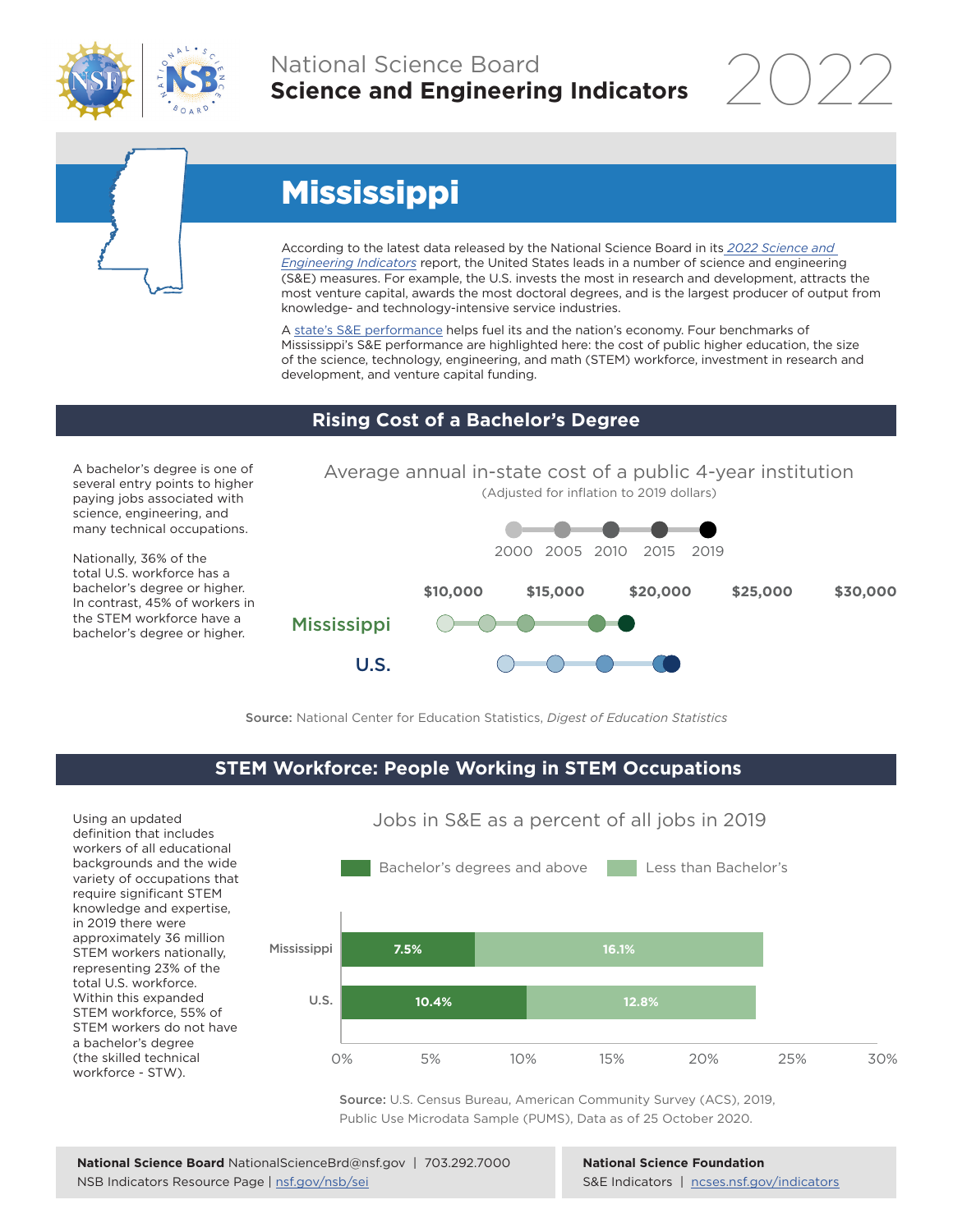

# National Science Board **Science and Engineering Indicators**

2022



# Mississippi

According to the latest data released by the National Science Board in its *2022 Science and Engineering Indicators* report, the United States leads in a number of science and engineering (S&E) measures. For example, the U.S. invests the most in research and development, attracts the most venture capital, awards the most doctoral degrees, and is the largest producer of output from knowledge- and technology-intensive service industries.

A state's S&E performance helps fuel its and the nation's economy. Four benchmarks of Mississippi's S&E performance are highlighted here: the cost of public higher education, the size of the science, technology, engineering, and math (STEM) workforce, investment in research and development, and venture capital funding.

### **Rising Cost of a Bachelor's Degree**

A bachelor's degree is one of several entry points to higher paying jobs associated with science, engineering, and many technical occupations.

Nationally, 36% of the total U.S. workforce has a bachelor's degree or higher. In contrast, 45% of workers in the STEM workforce have a bachelor's degree or higher.



Source: National Center for Education Statistics, *Digest of Education Statistics*

#### **STEM Workforce: People Working in STEM Occupations**

Using an updated definition that includes workers of all educational backgrounds and the wide variety of occupations that require significant STEM knowledge and expertise, in 2019 there were approximately 36 million STEM workers nationally, representing 23% of the total U.S. workforce. Within this expanded STEM workforce, 55% of STEM workers do not have a bachelor's degree (the skilled technical workforce - STW).



Jobs in S&E as a percent of all jobs in 2019

Source: U.S. Census Bureau, American Community Survey (ACS), 2019, Public Use Microdata Sample (PUMS), Data as of 25 October 2020.

**National Science Foundation** S&E Indicators | ncses.nsf.gov/indicators